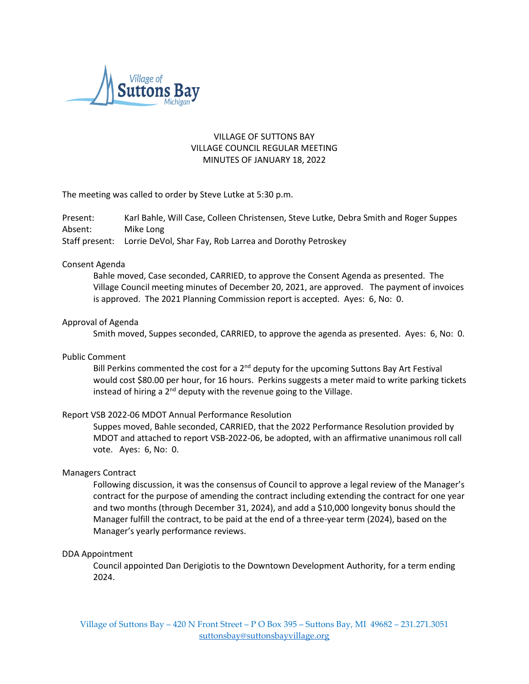

# VILLAGE OF SUTTONS BAY VILLAGE COUNCIL REGULAR MEETING MINUTES OF JANUARY 18, 2022

The meeting was called to order by Steve Lutke at 5:30 p.m.

Present: Karl Bahle, Will Case, Colleen Christensen, Steve Lutke, Debra Smith and Roger Suppes Absent: Mike Long Staff present: Lorrie DeVol, Shar Fay, Rob Larrea and Dorothy Petroskey

### Consent Agenda

Bahle moved, Case seconded, CARRIED, to approve the Consent Agenda as presented. The Village Council meeting minutes of December 20, 2021, are approved. The payment of invoices is approved. The 2021 Planning Commission report is accepted. Ayes: 6, No: 0.

### Approval of Agenda

Smith moved, Suppes seconded, CARRIED, to approve the agenda as presented. Ayes: 6, No: 0.

### Public Comment

Bill Perkins commented the cost for a  $2<sup>nd</sup>$  deputy for the upcoming Suttons Bay Art Festival would cost \$80.00 per hour, for 16 hours. Perkins suggests a meter maid to write parking tickets instead of hiring a  $2^{nd}$  deputy with the revenue going to the Village.

## Report VSB 2022-06 MDOT Annual Performance Resolution

Suppes moved, Bahle seconded, CARRIED, that the 2022 Performance Resolution provided by MDOT and attached to report VSB-2022-06, be adopted, with an affirmative unanimous roll call vote. Ayes: 6, No: 0.

### Managers Contract

Following discussion, it was the consensus of Council to approve a legal review of the Manager's contract for the purpose of amending the contract including extending the contract for one year and two months (through December 31, 2024), and add a \$10,000 longevity bonus should the Manager fulfill the contract, to be paid at the end of a three-year term (2024), based on the Manager's yearly performance reviews.

### DDA Appointment

Council appointed Dan Derigiotis to the Downtown Development Authority, for a term ending 2024.